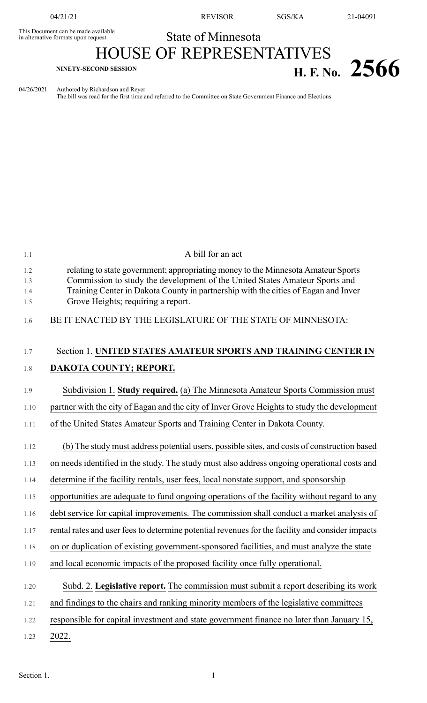This Document can be made available<br>in alternative formats upon request

04/21/21 REVISOR SGS/KA 21-04091

## State of Minnesota

# HOUSE OF REPRESENTATIVES **H. F. No.** 25666

04/26/2021 Authored by Richardson and Reyer

The bill was read for the first time and referred to the Committee on State Government Finance and Elections

| 1.1                      | A bill for an act                                                                                                                                                                                                                                                                            |
|--------------------------|----------------------------------------------------------------------------------------------------------------------------------------------------------------------------------------------------------------------------------------------------------------------------------------------|
| 1.2<br>1.3<br>1.4<br>1.5 | relating to state government; appropriating money to the Minnesota Amateur Sports<br>Commission to study the development of the United States Amateur Sports and<br>Training Center in Dakota County in partnership with the cities of Eagan and Inver<br>Grove Heights; requiring a report. |
| 1.6                      | BE IT ENACTED BY THE LEGISLATURE OF THE STATE OF MINNESOTA:                                                                                                                                                                                                                                  |
| 1.7                      | Section 1. UNITED STATES AMATEUR SPORTS AND TRAINING CENTER IN                                                                                                                                                                                                                               |
| 1.8                      | DAKOTA COUNTY; REPORT.                                                                                                                                                                                                                                                                       |
| 1.9                      | Subdivision 1. Study required. (a) The Minnesota Amateur Sports Commission must                                                                                                                                                                                                              |
| 1.10                     | partner with the city of Eagan and the city of Inver Grove Heights to study the development                                                                                                                                                                                                  |
| 1.11                     | of the United States Amateur Sports and Training Center in Dakota County.                                                                                                                                                                                                                    |
| 1.12                     | (b) The study must address potential users, possible sites, and costs of construction based                                                                                                                                                                                                  |
| 1.13                     | on needs identified in the study. The study must also address ongoing operational costs and                                                                                                                                                                                                  |
| 1.14                     | determine if the facility rentals, user fees, local nonstate support, and sponsorship                                                                                                                                                                                                        |
| 1.15                     | opportunities are adequate to fund ongoing operations of the facility without regard to any                                                                                                                                                                                                  |
| 1.16                     | debt service for capital improvements. The commission shall conduct a market analysis of                                                                                                                                                                                                     |
| 1.17                     | rental rates and user fees to determine potential revenues for the facility and consider impacts                                                                                                                                                                                             |
| 1.18                     | on or duplication of existing government-sponsored facilities, and must analyze the state                                                                                                                                                                                                    |
| 1.19                     | and local economic impacts of the proposed facility once fully operational.                                                                                                                                                                                                                  |
| 1.20                     | Subd. 2. Legislative report. The commission must submit a report describing its work                                                                                                                                                                                                         |
| 1.21                     | and findings to the chairs and ranking minority members of the legislative committees                                                                                                                                                                                                        |
| 1.22                     | responsible for capital investment and state government finance no later than January 15,                                                                                                                                                                                                    |
| 1.23                     | 2022.                                                                                                                                                                                                                                                                                        |